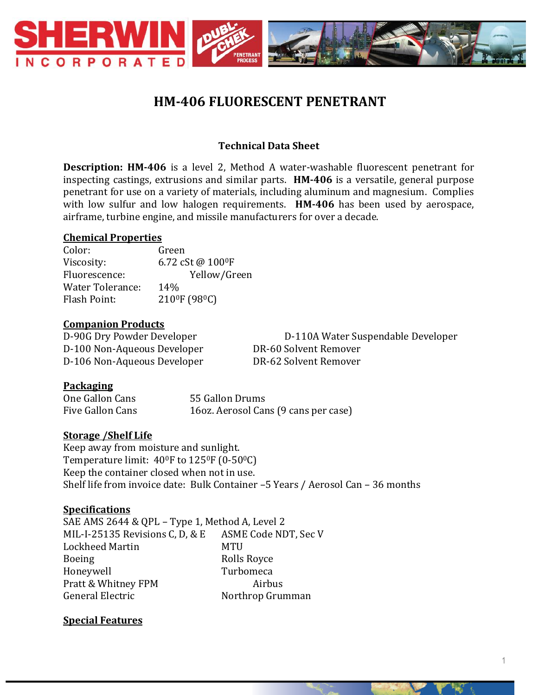

# **HM-406 FLUORESCENT PENETRANT**

## **Technical Data Sheet**

**Description: HM-406** is a level 2, Method A water-washable fluorescent penetrant for inspecting castings, extrusions and similar parts. **HM-406** is a versatile, general purpose penetrant for use on a variety of materials, including aluminum and magnesium. Complies with low sulfur and low halogen requirements. **HM-406** has been used by aerospace, airframe, turbine engine, and missile manufacturers for over a decade.

#### **Chemical Properties**

Color: Green Viscosity: 6.72 cSt @ 100<sup>0</sup>F Fluorescence: Yellow/Green Water Tolerance: 14% Flash Point: 210<sup>0</sup>F (98<sup>0</sup>C)

#### **Companion Products**

D-100 Non-Aqueous Developer DR-60 Solvent Remover D-106 Non-Aqueous Developer DR-62 Solvent Remover

D-90G Dry Powder Developer D-110A Water Suspendable Developer

#### **Packaging**

One Gallon Cans 55 Gallon Drums Five Gallon Cans 16oz. Aerosol Cans (9 cans per case)

#### **Storage /Shelf Life**

Keep away from moisture and sunlight. Temperature limit:  $40^{\circ}$ F to  $125^{\circ}$ F (0-50 $^{\circ}$ C) Keep the container closed when not in use. Shelf life from invoice date: Bulk Container –5 Years / Aerosol Can – 36 months

#### **Specifications**

SAE AMS 2644 & QPL – Type 1, Method A, Level 2 MIL-I-25135 Revisions C, D, & E ASME Code NDT, Sec V Lockheed Martin MTU Boeing Rolls Royce Honeywell Turbomeca Pratt & Whitney FPM Airbus General Electric Northrop Grumman

#### **Special Features**

1